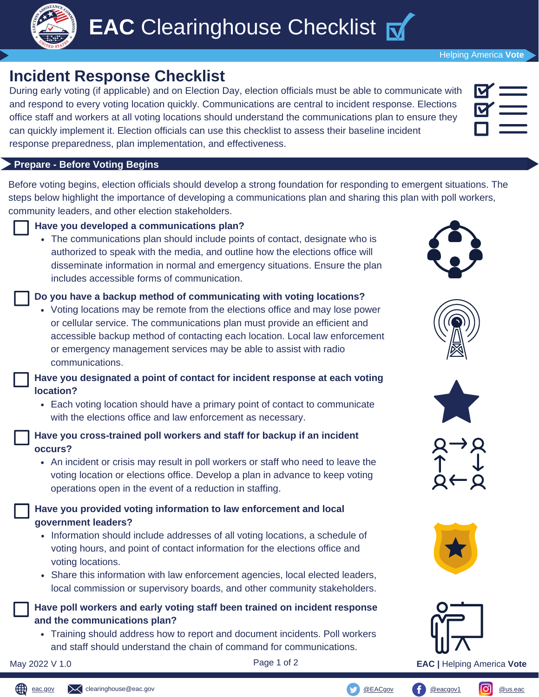

### Helping America **Vote**

# **Incident Response Checklist**

During early voting (if applicable) and on Election Day, election officials must be able to communicate with and respond to every voting location quickly. Communications are central to incident response. Elections office staff and workers at all voting locations should understand the communications plan to ensure they can quickly implement it. Election officials can use this checklist to assess their baseline incident response preparedness, plan implementation, and effectiveness.

#### **Prepare - Before Voting Begins**

Before voting begins, election officials should develop a strong foundation for responding to emergent situations. The steps below highlight the importance of developing a communications plan and sharing this plan with poll workers, community leaders, and other election stakeholders.













**Have you developed a communications plan?** • The communications plan should include points of contact, designate who is

authorized to speak with the media, and outline how the elections office will disseminate information in normal and emergency situations. Ensure the plan includes accessible forms of communication.

#### **Do you have a backup method of communicating with voting locations?**

Voting locations may be remote from the elections office and may lose power or cellular service. The communications plan must provide an efficient and accessible backup method of contacting each location. Local law enforcement or emergency management services may be able to assist with radio communications.

**Have you designated a point of contact for incident response at each voting location?**

Each voting location should have a primary point of contact to communicate with the elections office and law enforcement as necessary.

### **Have you cross-trained poll workers and staff for backup if an incident occurs?**

An incident or crisis may result in poll workers or staff who need to leave the voting location or elections office. Develop a plan in advance to keep voting operations open in the event of a reduction in staffing.

# **Have you provided voting information to law enforcement and local government leaders?**

- Information should include addresses of all voting locations, a schedule of voting hours, and point of contact information for the elections office and voting locations.
- Share this information with law enforcement agencies, local elected leaders, local commission or supervisory boards, and other community stakeholders.

# **Have poll workers and early voting staff been trained on incident response and the communications plan?**

Training should address how to report and document incidents. Poll workers and staff should understand the chain of command for communications.